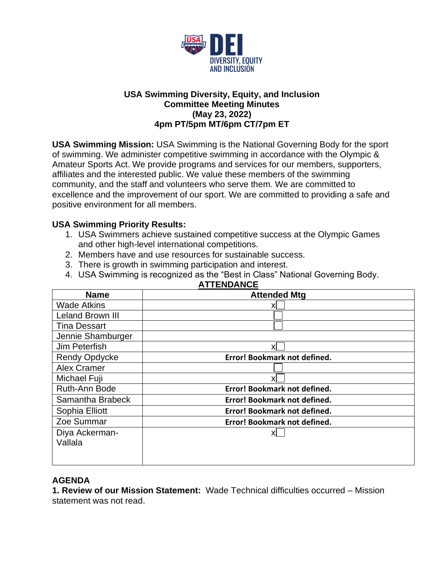

#### **USA Swimming Diversity, Equity, and Inclusion Committee Meeting Minutes (May 23, 2022) 4pm PT/5pm MT/6pm CT/7pm ET**

**USA Swimming Mission:** USA Swimming is the National Governing Body for the sport of swimming. We administer competitive swimming in accordance with the Olympic & Amateur Sports Act. We provide programs and services for our members, supporters, affiliates and the interested public. We value these members of the swimming community, and the staff and volunteers who serve them. We are committed to excellence and the improvement of our sport. We are committed to providing a safe and positive environment for all members.

## **USA Swimming Priority Results:**

- 1. USA Swimmers achieve sustained competitive success at the Olympic Games and other high-level international competitions.
- 2. Members have and use resources for sustainable success.
- 3. There is growth in swimming participation and interest.
- 4. USA Swimming is recognized as the "Best in Class" National Governing Body.

| <b>ATTENDANCE</b>         |                              |
|---------------------------|------------------------------|
| <b>Name</b>               | <b>Attended Mtg</b>          |
| <b>Wade Atkins</b>        |                              |
| Leland Brown III          |                              |
| Tina Dessart              |                              |
| Jennie Shamburger         |                              |
| Jim Peterfish             | xl                           |
| <b>Rendy Opdycke</b>      | Error! Bookmark not defined. |
| Alex Cramer               |                              |
| Michael Fuji              | χI                           |
| <b>Ruth-Ann Bode</b>      | Error! Bookmark not defined. |
| Samantha Brabeck          | Error! Bookmark not defined. |
| Sophia Elliott            | Error! Bookmark not defined. |
| Zoe Summar                | Error! Bookmark not defined. |
| Diya Ackerman-<br>Vallala | хI                           |

#### **AGENDA**

**1. Review of our Mission Statement:** Wade Technical difficulties occurred – Mission statement was not read.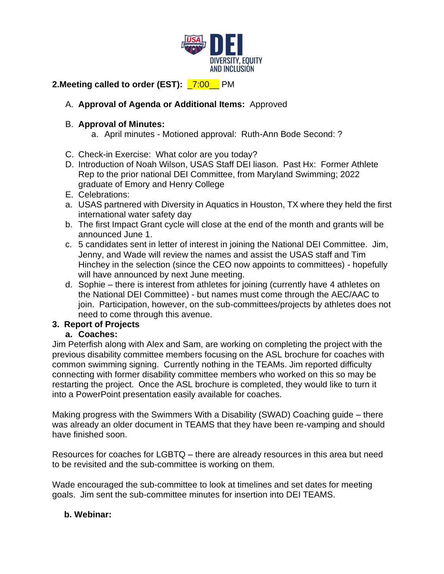

# **2. Meeting called to order (EST):** 7:00 PM

## A. **Approval of Agenda or Additional Items:** Approved

## B. **Approval of Minutes:**

- a. April minutes Motioned approval: Ruth-Ann Bode Second: ?
- C. Check-in Exercise: What color are you today?
- D. Introduction of Noah Wilson, USAS Staff DEI liason. Past Hx: Former Athlete Rep to the prior national DEI Committee, from Maryland Swimming; 2022 graduate of Emory and Henry College
- E. Celebrations:
- a. USAS partnered with Diversity in Aquatics in Houston, TX where they held the first international water safety day
- b. The first Impact Grant cycle will close at the end of the month and grants will be announced June 1.
- c. 5 candidates sent in letter of interest in joining the National DEI Committee. Jim, Jenny, and Wade will review the names and assist the USAS staff and Tim Hinchey in the selection (since the CEO now appoints to committees) - hopefully will have announced by next June meeting.
- d. Sophie there is interest from athletes for joining (currently have 4 athletes on the National DEI Committee) - but names must come through the AEC/AAC to join. Participation, however, on the sub-committees/projects by athletes does not need to come through this avenue.

## **3. Report of Projects**

## **a. Coaches:**

Jim Peterfish along with Alex and Sam, are working on completing the project with the previous disability committee members focusing on the ASL brochure for coaches with common swimming signing. Currently nothing in the TEAMs. Jim reported difficulty connecting with former disability committee members who worked on this so may be restarting the project. Once the ASL brochure is completed, they would like to turn it into a PowerPoint presentation easily available for coaches.

Making progress with the Swimmers With a Disability (SWAD) Coaching guide – there was already an older document in TEAMS that they have been re-vamping and should have finished soon.

Resources for coaches for LGBTQ – there are already resources in this area but need to be revisited and the sub-committee is working on them.

Wade encouraged the sub-committee to look at timelines and set dates for meeting goals. Jim sent the sub-committee minutes for insertion into DEI TEAMS.

## **b. Webinar:**